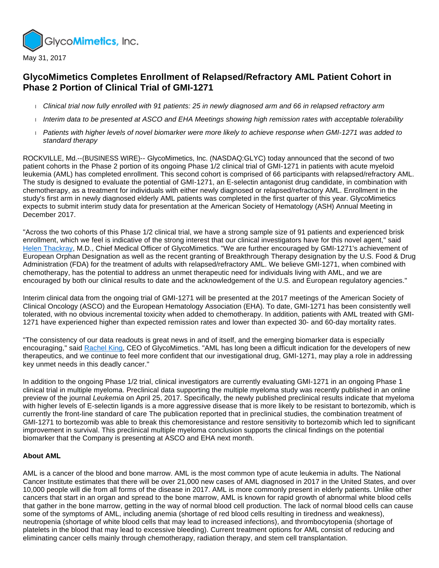

## **GlycoMimetics Completes Enrollment of Relapsed/Refractory AML Patient Cohort in Phase 2 Portion of Clinical Trial of GMI-1271**

- Clinical trial now fully enrolled with 91 patients: 25 in newly diagnosed arm and 66 in relapsed refractory arm
- Interim data to be presented at ASCO and EHA Meetings showing high remission rates with acceptable tolerability
- Patients with higher levels of novel biomarker were more likely to achieve response when GMI-1271 was added to standard therapy

ROCKVILLE, Md.--(BUSINESS WIRE)-- GlycoMimetics, Inc. (NASDAQ:GLYC) today announced that the second of two patient cohorts in the Phase 2 portion of its ongoing Phase 1/2 clinical trial of GMI-1271 in patients with acute myeloid leukemia (AML) has completed enrollment. This second cohort is comprised of 66 participants with relapsed/refractory AML. The study is designed to evaluate the potential of GMI-1271, an E-selectin antagonist drug candidate, in combination with chemotherapy, as a treatment for individuals with either newly diagnosed or relapsed/refractory AML. Enrollment in the study's first arm in newly diagnosed elderly AML patients was completed in the first quarter of this year. GlycoMimetics expects to submit interim study data for presentation at the American Society of Hematology (ASH) Annual Meeting in December 2017.

"Across the two cohorts of this Phase 1/2 clinical trial, we have a strong sample size of 91 patients and experienced brisk enrollment, which we feel is indicative of the strong interest that our clinical investigators have for this novel agent," said [Helen Thackray,](http://cts.businesswire.com/ct/CT?id=smartlink&url=http%3A%2F%2Fir.glycomimetics.com%2Fmanagement.cfm&esheet=51567205&newsitemid=20170531005760&lan=en-US&anchor=Helen+Thackray&index=1&md5=d3b460532bb4d9b70e170d7f7a033fbf) M.D., Chief Medical Officer of GlycoMimetics. "We are further encouraged by GMI-1271's achievement of European Orphan Designation as well as the recent granting of Breakthrough Therapy designation by the U.S. Food & Drug Administration (FDA) for the treatment of adults with relapsed/refractory AML. We believe GMI-1271, when combined with chemotherapy, has the potential to address an unmet therapeutic need for individuals living with AML, and we are encouraged by both our clinical results to date and the acknowledgement of the U.S. and European regulatory agencies."

Interim clinical data from the ongoing trial of GMI-1271 will be presented at the 2017 meetings of the American Society of Clinical Oncology (ASCO) and the European Hematology Association (EHA). To date, GMI-1271 has been consistently well tolerated, with no obvious incremental toxicity when added to chemotherapy. In addition, patients with AML treated with GMI-1271 have experienced higher than expected remission rates and lower than expected 30- and 60-day mortality rates.

"The consistency of our data readouts is great news in and of itself, and the emerging biomarker data is especially encouraging," said [Rachel King](http://cts.businesswire.com/ct/CT?id=smartlink&url=http%3A%2F%2Fir.glycomimetics.com%2Fmanagement.cfm&esheet=51567205&newsitemid=20170531005760&lan=en-US&anchor=Rachel+King&index=2&md5=906489a7c1c140be1bb70b987108a487), CEO of GlycoMimetics. "AML has long been a difficult indication for the developers of new therapeutics, and we continue to feel more confident that our investigational drug, GMI-1271, may play a role in addressing key unmet needs in this deadly cancer."

In addition to the ongoing Phase 1/2 trial, clinical investigators are currently evaluating GMI-1271 in an ongoing Phase 1 clinical trial in multiple myeloma. Preclinical data supporting the multiple myeloma study was recently published in an online preview of the journal Leukemia on April 25, 2017. Specifically, the newly published preclinical results indicate that myeloma with higher levels of E-selectin ligands is a more aggressive disease that is more likely to be resistant to bortezomib, which is currently the front-line standard of care The publication reported that in preclinical studies, the combination treatment of GMI-1271 to bortezomib was able to break this chemoresistance and restore sensitivity to bortezomib which led to significant improvement in survival. This preclinical multiple myeloma conclusion supports the clinical findings on the potential biomarker that the Company is presenting at ASCO and EHA next month.

## **About AML**

AML is a cancer of the blood and bone marrow. AML is the most common type of acute leukemia in adults. The National Cancer Institute estimates that there will be over 21,000 new cases of AML diagnosed in 2017 in the United States, and over 10,000 people will die from all forms of the disease in 2017. AML is more commonly present in elderly patients. Unlike other cancers that start in an organ and spread to the bone marrow, AML is known for rapid growth of abnormal white blood cells that gather in the bone marrow, getting in the way of normal blood cell production. The lack of normal blood cells can cause some of the symptoms of AML, including anemia (shortage of red blood cells resulting in tiredness and weakness), neutropenia (shortage of white blood cells that may lead to increased infections), and thrombocytopenia (shortage of platelets in the blood that may lead to excessive bleeding). Current treatment options for AML consist of reducing and eliminating cancer cells mainly through chemotherapy, radiation therapy, and stem cell transplantation.